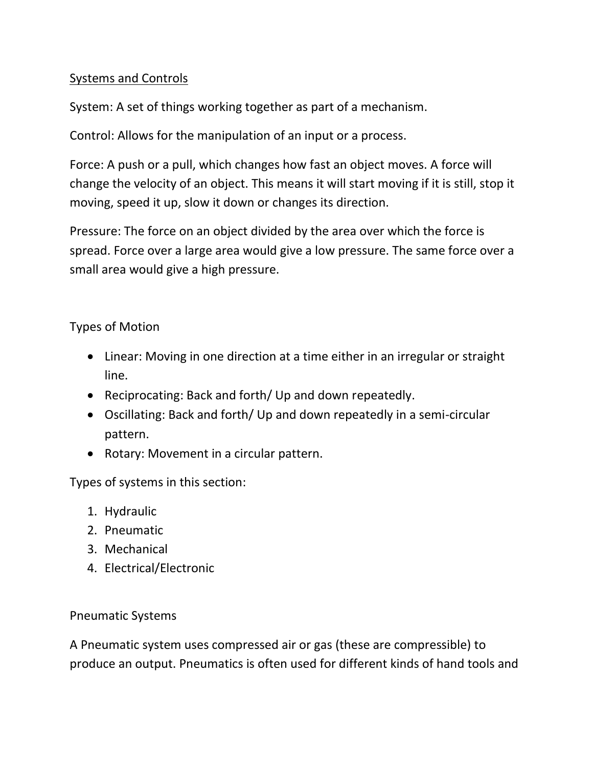# Systems and Controls

System: A set of things working together as part of a mechanism.

Control: Allows for the manipulation of an input or a process.

Force: A push or a pull, which changes how fast an object moves. A force will change the velocity of an object. This means it will start moving if it is still, stop it moving, speed it up, slow it down or changes its direction.

Pressure: The force on an object divided by the area over which the force is spread. Force over a large area would give a low pressure. The same force over a small area would give a high pressure.

# Types of Motion

- Linear: Moving in one direction at a time either in an irregular or straight line.
- Reciprocating: Back and forth/ Up and down repeatedly.
- Oscillating: Back and forth/ Up and down repeatedly in a semi-circular pattern.
- Rotary: Movement in a circular pattern.

Types of systems in this section:

- 1. Hydraulic
- 2. Pneumatic
- 3. Mechanical
- 4. Electrical/Electronic

### Pneumatic Systems

A Pneumatic system uses compressed air or gas (these are compressible) to produce an output. Pneumatics is often used for different kinds of hand tools and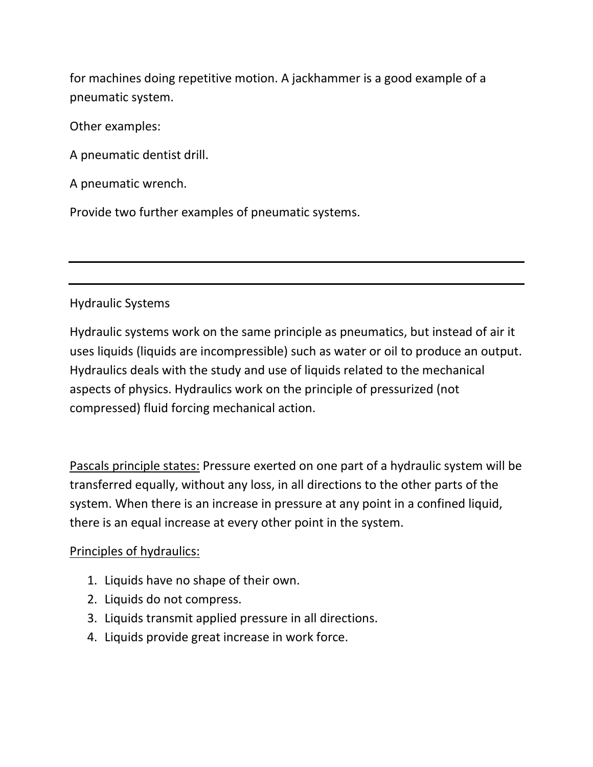for machines doing repetitive motion. A jackhammer is a good example of a pneumatic system.

Other examples:

A pneumatic dentist drill.

A pneumatic wrench.

Provide two further examples of pneumatic systems.

# Hydraulic Systems

Hydraulic systems work on the same principle as pneumatics, but instead of air it uses liquids (liquids are incompressible) such as water or oil to produce an output. Hydraulics deals with the study and use of liquids related to the mechanical aspects of physics. Hydraulics work on the principle of pressurized (not compressed) fluid forcing mechanical action.

Pascals principle states: Pressure exerted on one part of a hydraulic system will be transferred equally, without any loss, in all directions to the other parts of the system. When there is an increase in pressure at any point in a confined liquid, there is an equal increase at every other point in the system.

### Principles of hydraulics:

- 1. Liquids have no shape of their own.
- 2. Liquids do not compress.
- 3. Liquids transmit applied pressure in all directions.
- 4. Liquids provide great increase in work force.